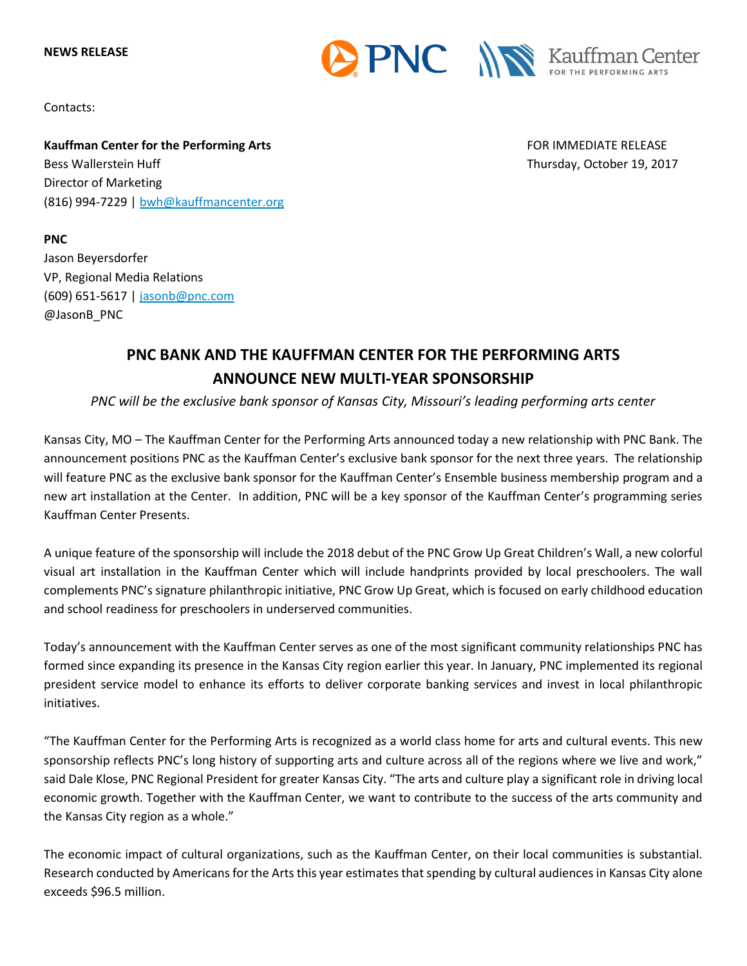



Contacts:

**PNC**

Jason Beyersdorfer

**Kauffman Center for the Performing Arts** FOR IMMEDIATE RELEASE Bess Wallerstein Huff Thursday, October 19, 2017 Director of Marketing (816) 994-7229 | [bwh@kauffmancenter.org](mailto:bwh@kauffmancenter.org)

## VP, Regional Media Relations (609) 651-5617 | [jasonb@pnc.com](mailto:jasonb@pnc.com) @JasonB\_PNC

## **PNC BANK AND THE KAUFFMAN CENTER FOR THE PERFORMING ARTS ANNOUNCE NEW MULTI-YEAR SPONSORSHIP**

*PNC will be the exclusive bank sponsor of Kansas City, Missouri's leading performing arts center*

Kansas City, MO – The Kauffman Center for the Performing Arts announced today a new relationship with PNC Bank. The announcement positions PNC as the Kauffman Center's exclusive bank sponsor for the next three years. The relationship will feature PNC as the exclusive bank sponsor for the Kauffman Center's Ensemble business membership program and a new art installation at the Center. In addition, PNC will be a key sponsor of the Kauffman Center's programming series Kauffman Center Presents.

A unique feature of the sponsorship will include the 2018 debut of the PNC Grow Up Great Children's Wall, a new colorful visual art installation in the Kauffman Center which will include handprints provided by local preschoolers. The wall complements PNC's signature philanthropic initiative, PNC Grow Up Great, which is focused on early childhood education and school readiness for preschoolers in underserved communities.

Today's announcement with the Kauffman Center serves as one of the most significant community relationships PNC has formed since expanding its presence in the Kansas City region earlier this year. In January, PNC implemented its regional president service model to enhance its efforts to deliver corporate banking services and invest in local philanthropic initiatives.

"The Kauffman Center for the Performing Arts is recognized as a world class home for arts and cultural events. This new sponsorship reflects PNC's long history of supporting arts and culture across all of the regions where we live and work," said Dale Klose, PNC Regional President for greater Kansas City. "The arts and culture play a significant role in driving local economic growth. Together with the Kauffman Center, we want to contribute to the success of the arts community and the Kansas City region as a whole."

The economic impact of cultural organizations, such as the Kauffman Center, on their local communities is substantial. Research conducted by Americans for the Arts this year estimates that spending by cultural audiences in Kansas City alone exceeds \$96.5 million.